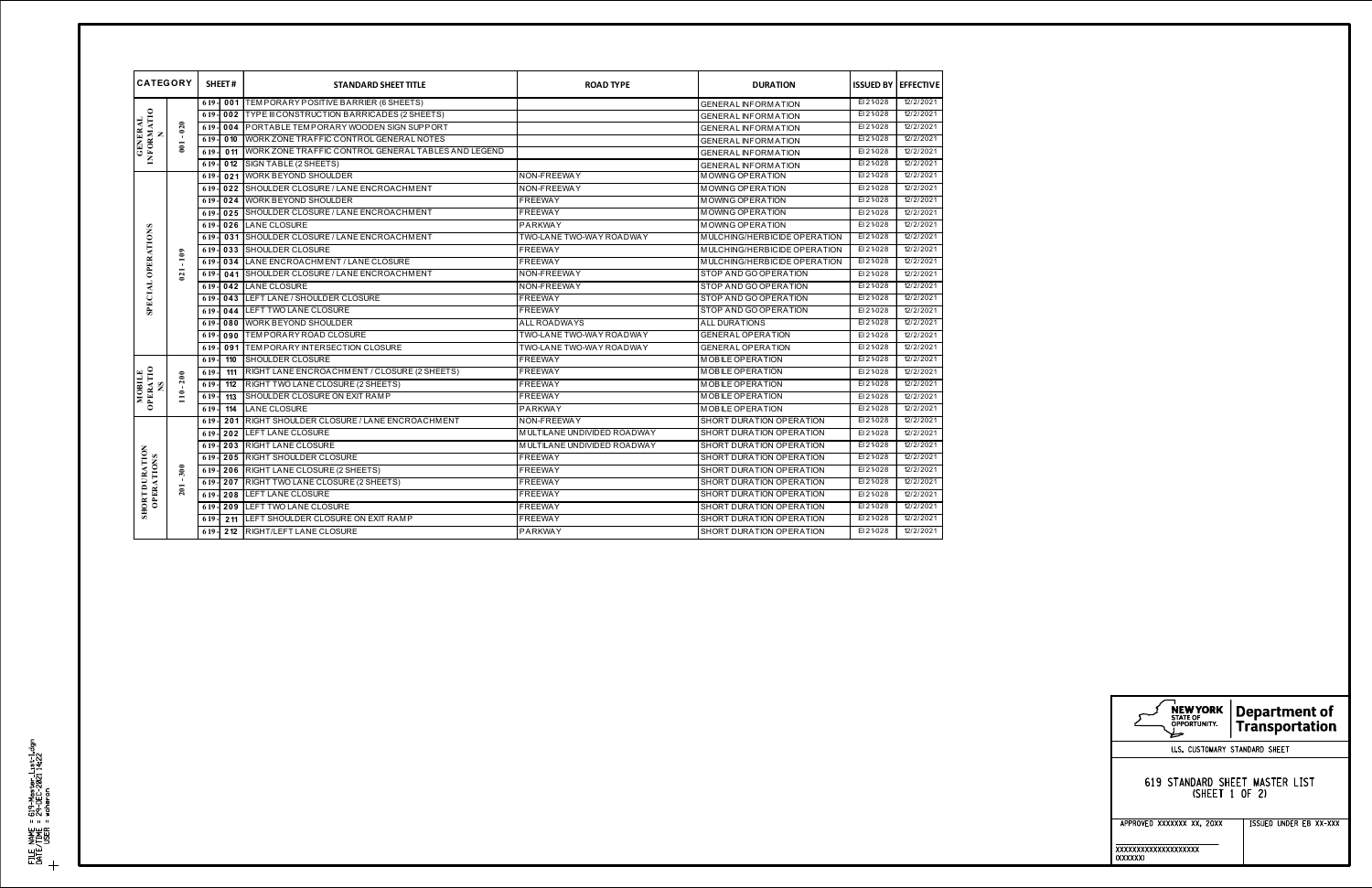| <b>CATEGORY</b>                     |               |        | SHEET#           | <b>STANDARD SHEET TITLE</b>                           | <b>ROAD TYPE</b>            | <b>DURATION</b>              | <b>ISSUED BY</b> | <b>EFFECTIVE</b> |
|-------------------------------------|---------------|--------|------------------|-------------------------------------------------------|-----------------------------|------------------------------|------------------|------------------|
| <b>INFORMATIO</b><br><b>GENERAL</b> |               | $619-$ | 001              | TEMPORARY POSITIVE BARRIER (6 SHEETS)                 |                             | <b>GENERAL INFORMATION</b>   | EI 21-028        | 12/2/2021        |
|                                     |               | 619    | 002              | TYPE III CONSTRUCTION BARRICADES (2 SHEETS)           |                             | <b>GENERAL INFORMATION</b>   | EI 21-028        | 12/2/2021        |
|                                     | $-020$        | 6 19   | 004              | PORTABLE TEMPORARY WOODEN SIGN SUPPORT                |                             | <b>GENERAL INFORMATION</b>   | EI 21-028        | 12/2/2021        |
|                                     | 001           | 6 19   | 0 <sub>10</sub>  | WORK ZONE TRAFFIC CONTROL GENERAL NOTES               |                             | <b>GENERAL INFORMATION</b>   | EI 21-028        | 12/2/2021        |
|                                     |               | 6 19   | 011              | I WORK ZONE TRAFFIC CONTROL GENERAL TABLES AND LEGEND |                             | <b>GENERAL INFORMATION</b>   | EI 21-028        | 12/2/2021        |
|                                     |               | 6 19   | 0 <sub>12</sub>  | SIGN TABLE (2 SHEETS)                                 |                             | <b>GENERAL INFORMATION</b>   | EI 21-028        | 12/2/2021        |
| <b>SPECIAL OPERATIONS</b>           |               | 6 19   | 021              | <b>WORK BEYOND SHOULDER</b>                           | NON-FREEWAY                 | <b>MOWING OP ERATION</b>     | EI 21-028        | 12/2/2021        |
|                                     |               | 6 19   | 022              | SHOULDER CLOSURE / LANE ENCROACHMENT                  | NON-FREEWAY                 | MOWING OP ERATION            | EI 21-028        | 12/2/2021        |
|                                     |               | 6 19   | 024              | <b>WORK BEYOND SHOULDER</b>                           | <b>FREEWAY</b>              | MOWING OP ERATION            | EI 21-028        | 12/2/2021        |
|                                     | 109           | 619    | 025              | SHOULDER CLOSURE / LANE ENCROACHMENT                  | <b>FREEWAY</b>              | MOWING OP ERATION            | EI 21-028        | 12/2/2021        |
|                                     |               | 619.   | 026              | <b>LANE CLOSURE</b>                                   | PARKWAY                     | MOWING OP ERATION            | EI 21-028        | 12/2/2021        |
|                                     |               | 619.   | 031              | SHOULDER CLOSURE / LANE ENCROACHMENT                  | TWO-LANE TWO-WAY ROADWAY    | MULCHING/HERBICIDE OPERATION | EI 21-028        | 12/2/2021        |
|                                     |               | 6 19   | 033              | <b>SHOULDER CLOSURE</b>                               | <b>FREEWAY</b>              | MULCHING/HERBICIDE OPERATION | EI 21-028        | 12/2/2021        |
|                                     |               | 6 19   | 034              | LANE ENCROACHMENT / LANE CLOSURE                      | <b>FREEWAY</b>              | MULCHING/HERBICIDE OPERATION | EI 21-028        | 12/2/2021        |
|                                     | 021           | 6 19   | 041              | SHOULDER CLOSURE / LANE ENCROACHMENT                  | NON-FREEWAY                 | STOP AND GO OPERATION        | EI 21-028        | 12/2/2021        |
|                                     |               | 6 19   | 042              | LANE CLOSURE                                          | NON-FREEWAY                 | STOP AND GO OPERATION        | EI 21-028        | 12/2/2021        |
|                                     |               | 6 19   | 043              | LEFT LANE / SHOULDER CLOSURE                          | <b>FREEWAY</b>              | STOP AND GO OPERATION        | EI 21-028        | 12/2/2021        |
|                                     |               | 6 19   | 044              | LEFT TWO LANE CLOSURE                                 | <b>FREEWAY</b>              | STOP AND GO OPERATION        | EI 21-028        | 12/2/2021        |
|                                     |               | 6 19   | 080              | <b>WORK BEYOND SHOULDER</b>                           | <b>ALL ROADWAYS</b>         | <b>ALL DURATIONS</b>         | EI 21-028        | 12/2/2021        |
|                                     |               | 6 19   | 090              | TEM PORARY ROAD CLOSURE                               | TWO-LANE TWO-WAY ROADWAY    | <b>GENERAL OPERATION</b>     | EI 21-028        | 12/2/2021        |
|                                     |               | 619    | $\overline{091}$ | <b>ITEMPORARY INTERSECTION CLOSURE</b>                | TWO-LANE TWO-WAY ROADWAY    | <b>GENERAL OPERATION</b>     | EI 21-028        | 12/2/2021        |
| <b>MOBILE</b><br>GPERATIO           | $-200$<br>110 | 619    | 110              | SHOULDER CLOSURE                                      | <b>FREEWAY</b>              | M OBILE OP ERATION           | EI 21-028        | 12/2/2021        |
|                                     |               | 619    | 111              | RIGHT LANE ENCROACHMENT / CLOSURE (2 SHEETS)          | <b>FREEWAY</b>              | M OBILE OP ERATION           | EI 21-028        | 12/2/2021        |
|                                     |               | 619    | 112              | RIGHT TWO LANE CLOSURE (2 SHEETS)                     | <b>FREEWAY</b>              | M OBILE OP ERATION           | EI 21-028        | 12/2/2021        |
|                                     |               | 6 19   | 113              | SHOULDER CLOSURE ON EXIT RAMP                         | <b>FREEWAY</b>              | M OBILE OP ERATION           | EI 21-028        | 12/2/2021        |
|                                     |               | 6 19   | 114              | <b>LANE CLOSURE</b>                                   | PARKWAY                     | M OBILE OP ERATION           | EI 21-028        | 12/2/2021        |
| <b>SHORT DURATION</b><br>OPERATIONS | $-300$<br>201 | 6 19   | 201              | RIGHT SHOULDER CLOSURE / LANE ENCROACHMENT            | NON-FREEWAY                 | SHORT DURATION OPERATION     | EI 21-028        | 12/2/2021        |
|                                     |               | 6 19   | 202              | <b>LEFT LANE CLOSURE</b>                              | MULTILANE UNDIVIDED ROADWAY | SHORT DURATION OPERATION     | EI 21-028        | 12/2/2021        |
|                                     |               | 6 19   | 203              | <b>RIGHT LANE CLOSURE</b>                             | MULTILANE UNDIVIDED ROADWAY | SHORT DURATION OPERATION     | EI 21-028        | 12/2/2021        |
|                                     |               | 6 19   | 205              | <b>RIGHT SHOULDER CLOSURE</b>                         | <b>FREEWAY</b>              | SHORT DURATION OPERATION     | EI 21-028        | 12/2/2021        |
|                                     |               | 6 19   | 206              | RIGHT LANE CLOSURE (2 SHEETS)                         | <b>FREEWAY</b>              | SHORT DURATION OPERATION     | EI 21-028        | 12/2/2021        |
|                                     |               | 6 19   | 207              | RIGHT TWO LANE CLOSURE (2 SHEETS)                     | <b>FREEWAY</b>              | SHORT DURATION OPERATION     | EI 21-028        | 12/2/2021        |
|                                     |               | 6 19   | 208              | LEFT LANE CLOSURE                                     | <b>FREEWAY</b>              | SHORT DURATION OPERATION     | EI 21-028        | 12/2/2021        |
|                                     |               | $619-$ | 209              | LEFT TWO LANE CLOSURE                                 | <b>FREEWAY</b>              | SHORT DURATION OPERATION     | EI 21-028        | 12/2/2021        |
|                                     |               | 6 19   | 211              | LEFT SHOULDER CLOSURE ON EXIT RAMP                    | <b>FREEWAY</b>              | SHORT DURATION OPERATION     | EI 21-028        | 12/2/2021        |
|                                     |               | 6 19   | 212              | <b>RIGHT/LEFT LANE CLOSURE</b>                        | PARKWAY                     | SHORT DURATION OPERATION     | EI 21-028        | 12/2/2021        |

| NEW YORK<br><b>STATE OF</b><br>OPPORTUNITY.      | <b>Department of</b><br><b>Transportation</b> |  |  |  |  |
|--------------------------------------------------|-----------------------------------------------|--|--|--|--|
| U.S. CUSTOMARY STANDARD SHEET                    |                                               |  |  |  |  |
| 619 STANDARD SHEET MASTER LIST<br>(SHFFT 1 OF 2) |                                               |  |  |  |  |
| APPROVED XXXXXXX XX, 20XX                        | ISSUED UNDER EB XX-XXX                        |  |  |  |  |
| xxxxxxxxxxxxxxxxxxx<br>(XXXXXX)                  |                                               |  |  |  |  |